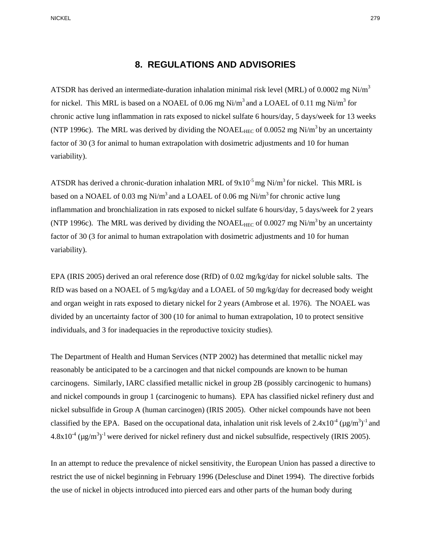## **8. REGULATIONS AND ADVISORIES**

ATSDR has derived an intermediate-duration inhalation minimal risk level (MRL) of 0.0002 mg Ni/m<sup>3</sup> for nickel. This MRL is based on a NOAEL of 0.06 mg Ni/m<sup>3</sup> and a LOAEL of 0.11 mg Ni/m<sup>3</sup> for chronic active lung inflammation in rats exposed to nickel sulfate 6 hours/day, 5 days/week for 13 weeks (NTP 1996c). The MRL was derived by dividing the NOAEL<sub>HEC</sub> of 0.0052 mg Ni/m<sup>3</sup> by an uncertainty factor of 30 (3 for animal to human extrapolation with dosimetric adjustments and 10 for human variability).

ATSDR has derived a chronic-duration inhalation MRL of  $9x10^{-5}$  mg Ni/m<sup>3</sup> for nickel. This MRL is based on a NOAEL of 0.03 mg Ni/m<sup>3</sup> and a LOAEL of 0.06 mg Ni/m<sup>3</sup> for chronic active lung inflammation and bronchialization in rats exposed to nickel sulfate 6 hours/day, 5 days/week for 2 years (NTP 1996c). The MRL was derived by dividing the NOAEL<sub>HEC</sub> of 0.0027 mg Ni/m<sup>3</sup> by an uncertainty factor of 30 (3 for animal to human extrapolation with dosimetric adjustments and 10 for human variability).

EPA (IRIS 2005) derived an oral reference dose (RfD) of 0.02 mg/kg/day for nickel soluble salts. The RfD was based on a NOAEL of 5 mg/kg/day and a LOAEL of 50 mg/kg/day for decreased body weight and organ weight in rats exposed to dietary nickel for 2 years (Ambrose et al. 1976). The NOAEL was divided by an uncertainty factor of 300 (10 for animal to human extrapolation, 10 to protect sensitive individuals, and 3 for inadequacies in the reproductive toxicity studies).

 $4.8x10^{-4}$  ( $\mu$ g/m<sup>3</sup>)<sup>-1</sup> were derived for nickel refinery dust and nickel subsulfide, respectively (IRIS 2005).<br>In an attempt to reduce the prevalence of nickel sensitivity, the European Union has passed a directive t The Department of Health and Human Services (NTP 2002) has determined that metallic nickel may reasonably be anticipated to be a carcinogen and that nickel compounds are known to be human carcinogens. Similarly, IARC classified metallic nickel in group 2B (possibly carcinogenic to humans) and nickel compounds in group 1 (carcinogenic to humans). EPA has classified nickel refinery dust and nickel subsulfide in Group A (human carcinogen) (IRIS 2005). Other nickel compounds have not been classified by the EPA. Based on the occupational data, inhalation unit risk levels of  $2.4 \times 10^{-4}$  ( $\mu$ g/m<sup>3</sup>)<sup>-1</sup> and

restrict the use of nickel beginning in February 1996 (Delescluse and Dinet 1994). The directive forbids the use of nickel in objects introduced into pierced ears and other parts of the human body during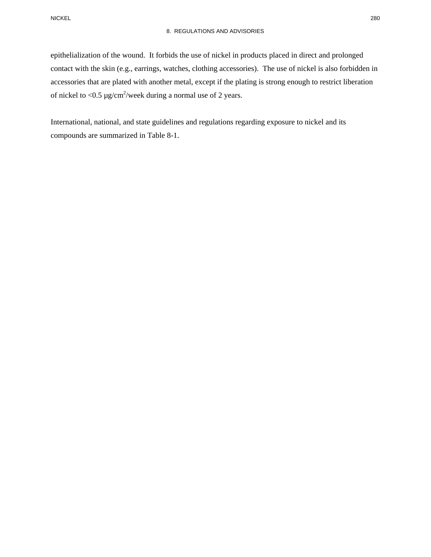epithelialization of the wound. It forbids the use of nickel in products placed in direct and prolonged contact with the skin (e.g., earrings, watches, clothing accessories). The use of nickel is also forbidden in accessories that are plated with another metal, except if the plating is strong enough to restrict liberation of nickel to <0.5  $\mu$ g/cm<sup>2</sup>/week during a normal use of 2 years.

International, national, and state guidelines and regulations regarding exposure to nickel and its compounds are summarized in Table 8-1.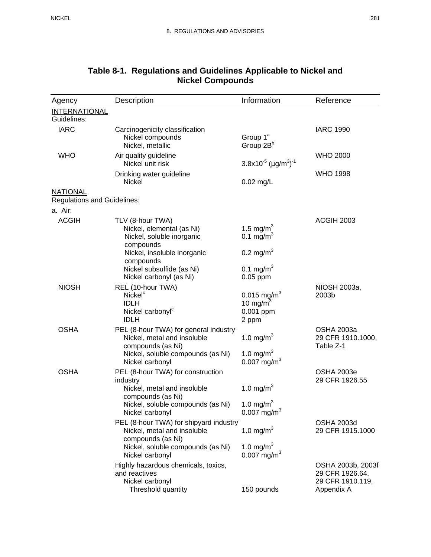| Agency                             | Description                                                                                                                                       | Information                                                       | Reference                                                              |
|------------------------------------|---------------------------------------------------------------------------------------------------------------------------------------------------|-------------------------------------------------------------------|------------------------------------------------------------------------|
| <b>INTERNATIONAL</b>               |                                                                                                                                                   |                                                                   |                                                                        |
| Guidelines:                        |                                                                                                                                                   |                                                                   |                                                                        |
| <b>IARC</b>                        | Carcinogenicity classification<br>Nickel compounds<br>Nickel, metallic                                                                            | Group 1 <sup>ª</sup><br>Group 2B <sup>b</sup>                     | <b>IARC 1990</b>                                                       |
| <b>WHO</b>                         | Air quality guideline<br>Nickel unit risk                                                                                                         | $3.8x10^{-5}$ (µg/m <sup>3</sup> ) <sup>-1</sup>                  | <b>WHO 2000</b>                                                        |
|                                    | Drinking water guideline<br>Nickel                                                                                                                | $0.02$ mg/L                                                       | <b>WHO 1998</b>                                                        |
| <b>NATIONAL</b>                    |                                                                                                                                                   |                                                                   |                                                                        |
| <b>Regulations and Guidelines:</b> |                                                                                                                                                   |                                                                   |                                                                        |
| a. Air:                            |                                                                                                                                                   |                                                                   |                                                                        |
| <b>ACGIH</b>                       | TLV (8-hour TWA)<br>Nickel, elemental (as Ni)<br>Nickel, soluble inorganic<br>compounds                                                           | 1.5 mg/m <sup>3</sup><br>0.1 mg/m <sup>3</sup>                    | <b>ACGIH 2003</b>                                                      |
|                                    | Nickel, insoluble inorganic<br>compounds                                                                                                          | 0.2 mg/m <sup>3</sup>                                             |                                                                        |
|                                    | Nickel subsulfide (as Ni)<br>Nickel carbonyl (as Ni)                                                                                              | 0.1 mg/m <sup>3</sup><br>$0.05$ ppm                               |                                                                        |
| <b>NIOSH</b>                       | REL (10-hour TWA)<br>Nickel <sup>c</sup><br><b>IDLH</b><br>Nickel carbonyl <sup>c</sup><br><b>IDLH</b>                                            | $0.015$ mg/m <sup>3</sup><br>10 mg/m<br>0.001 ppm<br>2 ppm        | NIOSH 2003a,<br>2003b                                                  |
| <b>OSHA</b>                        | PEL (8-hour TWA) for general industry<br>Nickel, metal and insoluble<br>compounds (as Ni)<br>Nickel, soluble compounds (as Ni)<br>Nickel carbonyl | 1.0 mg/m <sup>3</sup><br>1.0 mg/ $m^3$<br>0.007 mg/m <sup>3</sup> | <b>OSHA 2003a</b><br>29 CFR 1910.1000,<br>Table Z-1                    |
| <b>OSHA</b>                        | PEL (8-hour TWA) for construction<br>industry<br>Nickel, metal and insoluble<br>compounds (as Ni)<br>Nickel, soluble compounds (as Ni)            | 1.0 mg/m <sup>3</sup><br>1.0 mg/ $m^3$                            | <b>OSHA 2003e</b><br>29 CFR 1926.55                                    |
|                                    | Nickel carbonyl<br>PEL (8-hour TWA) for shipyard industry<br>Nickel, metal and insoluble                                                          | $0.007$ mg/m <sup>3</sup><br>1.0 mg/m $^{3}$                      | <b>OSHA 2003d</b><br>29 CFR 1915.1000                                  |
|                                    | compounds (as Ni)<br>Nickel, soluble compounds (as Ni)<br>Nickel carbonyl                                                                         | 1.0 mg/m <sup>3</sup><br>$0.007$ mg/m <sup>3</sup>                |                                                                        |
|                                    | Highly hazardous chemicals, toxics,<br>and reactives<br>Nickel carbonyl<br>Threshold quantity                                                     | 150 pounds                                                        | OSHA 2003b, 2003f<br>29 CFR 1926.64,<br>29 CFR 1910.119,<br>Appendix A |

## **Table 8-1. Regulations and Guidelines Applicable to Nickel and Nickel Compounds**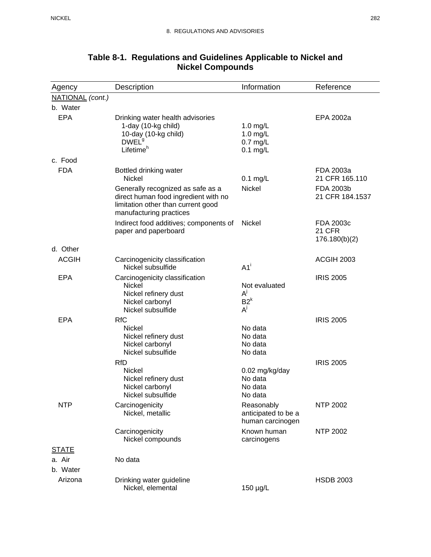| Agency           | Description                                                                                                                                                                    | Information                                           | Reference                                                   |
|------------------|--------------------------------------------------------------------------------------------------------------------------------------------------------------------------------|-------------------------------------------------------|-------------------------------------------------------------|
| NATIONAL (cont.) |                                                                                                                                                                                |                                                       |                                                             |
| b. Water         |                                                                                                                                                                                |                                                       |                                                             |
| <b>EPA</b>       | Drinking water health advisories<br>1-day (10-kg child)<br>10-day (10-kg child)<br>DWEL <sup>9</sup><br>Lifetime <sup>h</sup>                                                  | 1.0 $mg/L$<br>1.0 $mg/L$<br>$0.7$ mg/L<br>$0.1$ mg/L  | EPA 2002a                                                   |
| c. Food          |                                                                                                                                                                                |                                                       |                                                             |
| <b>FDA</b>       | Bottled drinking water<br>Nickel<br>Generally recognized as safe as a<br>direct human food ingredient with no<br>limitation other than current good<br>manufacturing practices | $0.1$ mg/L<br><b>Nickel</b>                           | FDA 2003a<br>21 CFR 165.110<br>FDA 2003b<br>21 CFR 184.1537 |
|                  | Indirect food additives; components of<br>paper and paperboard                                                                                                                 | Nickel                                                | FDA 2003c<br>21 CFR<br>176.180(b)(2)                        |
| d. Other         |                                                                                                                                                                                |                                                       |                                                             |
| <b>ACGIH</b>     | Carcinogenicity classification<br>Nickel subsulfide                                                                                                                            | $A1^{\dagger}$                                        | ACGIH 2003                                                  |
| <b>EPA</b>       | Carcinogenicity classification<br>Nickel<br>Nickel refinery dust<br>Nickel carbonyl<br>Nickel subsulfide                                                                       | Not evaluated<br>$A^{j}$<br>$B2^k$<br>$A^j$           | <b>IRIS 2005</b>                                            |
| <b>EPA</b>       | <b>RfC</b><br>Nickel<br>Nickel refinery dust<br>Nickel carbonyl<br>Nickel subsulfide                                                                                           | No data<br>No data<br>No data<br>No data              | <b>IRIS 2005</b>                                            |
|                  | <b>RfD</b><br><b>Nickel</b><br>Nickel refinery dust<br>Nickel carbonyl<br>Nickel subsulfide                                                                                    | 0.02 mg/kg/day<br>No data<br>No data<br>No data       | <b>IRIS 2005</b>                                            |
| <b>NTP</b>       | Carcinogenicity<br>Nickel, metallic                                                                                                                                            | Reasonably<br>anticipated to be a<br>human carcinogen | <b>NTP 2002</b>                                             |
|                  | Carcinogenicity<br>Nickel compounds                                                                                                                                            | Known human<br>carcinogens                            | <b>NTP 2002</b>                                             |
| <b>STATE</b>     |                                                                                                                                                                                |                                                       |                                                             |
| a. Air           | No data                                                                                                                                                                        |                                                       |                                                             |
| b. Water         |                                                                                                                                                                                |                                                       |                                                             |
| Arizona          | Drinking water guideline<br>Nickel, elemental                                                                                                                                  | 150 µg/L                                              | <b>HSDB 2003</b>                                            |

## **Table 8-1. Regulations and Guidelines Applicable to Nickel and Nickel Compounds**